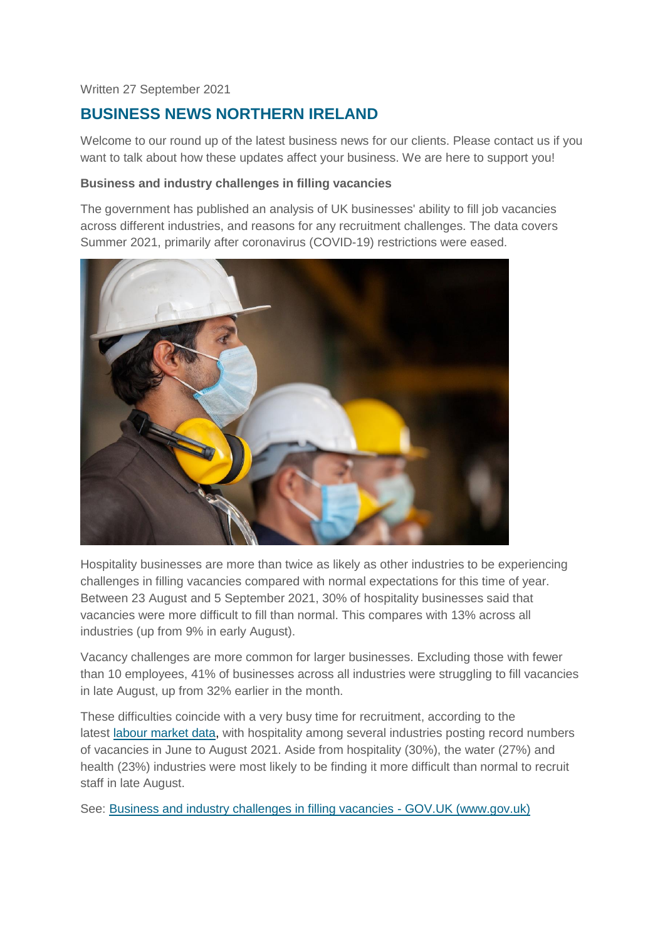### Written 27 September 2021

# **BUSINESS NEWS NORTHERN IRELAND**

Welcome to our round up of the latest business news for our clients. Please contact us if you want to talk about how these updates affect your business. We are here to support you!

### **Business and industry challenges in filling vacancies**

The government has published an analysis of UK businesses' ability to fill job vacancies across different industries, and reasons for any recruitment challenges. The data covers Summer 2021, primarily after coronavirus (COVID-19) restrictions were eased.



Hospitality businesses are more than twice as likely as other industries to be experiencing challenges in filling vacancies compared with normal expectations for this time of year. Between 23 August and 5 September 2021, 30% of hospitality businesses said that vacancies were more difficult to fill than normal. This compares with 13% across all industries (up from 9% in early August).

Vacancy challenges are more common for larger businesses. Excluding those with fewer than 10 employees, 41% of businesses across all industries were struggling to fill vacancies in late August, up from 32% earlier in the month.

These difficulties coincide with a very busy time for recruitment, according to the latest [labour market data,](https://www.ons.gov.uk/employmentandlabourmarket/peopleinwork/employmentandemployeetypes/bulletins/jobsandvacanciesintheuk/september2021) with hospitality among several industries posting record numbers of vacancies in June to August 2021. Aside from hospitality (30%), the water (27%) and health (23%) industries were most likely to be finding it more difficult than normal to recruit staff in late August.

See: [Business and industry challenges in filling vacancies -](https://www.gov.uk/government/statistics/business-and-industry-challenges-in-filling-vacancies?utm_medium=email&utm_campaign=govuk-notifications&utm_source=71375c0b-2d0a-4b8f-aca9-47425c65ac82&utm_content=daily) GOV.UK (www.gov.uk)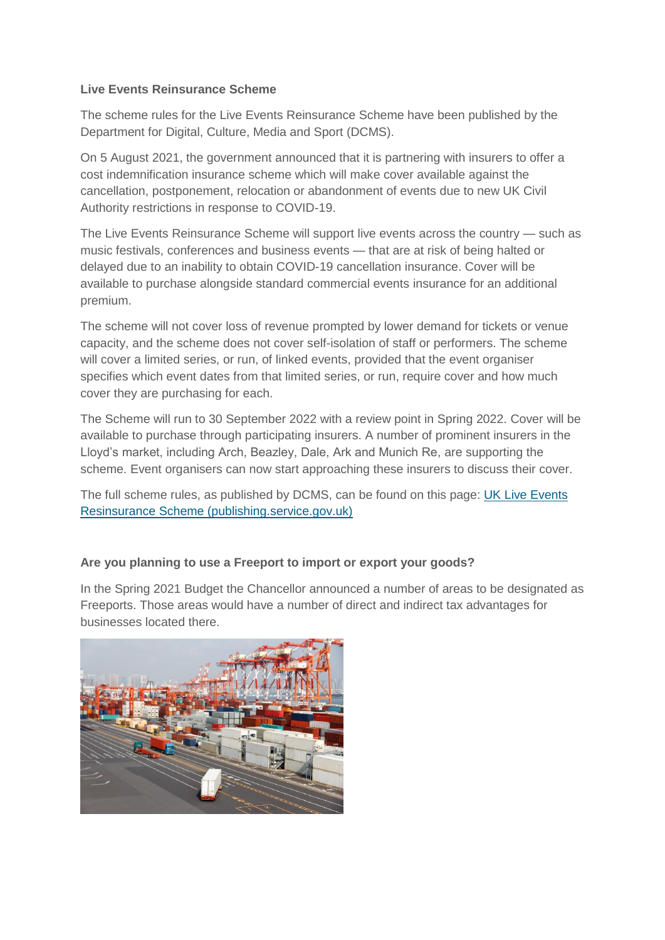## **Live Events Reinsurance Scheme**

The scheme rules for the Live Events Reinsurance Scheme have been published by the Department for Digital, Culture, Media and Sport (DCMS).

On 5 August 2021, the government announced that it is partnering with insurers to offer a cost indemnification insurance scheme which will make cover available against the cancellation, postponement, relocation or abandonment of events due to new UK Civil Authority restrictions in response to COVID-19.

The Live Events Reinsurance Scheme will support live events across the country — such as music festivals, conferences and business events — that are at risk of being halted or delayed due to an inability to obtain COVID-19 cancellation insurance. Cover will be available to purchase alongside standard commercial events insurance for an additional premium.

The scheme will not cover loss of revenue prompted by lower demand for tickets or venue capacity, and the scheme does not cover self-isolation of staff or performers. The scheme will cover a limited series, or run, of linked events, provided that the event organiser specifies which event dates from that limited series, or run, require cover and how much cover they are purchasing for each.

The Scheme will run to 30 September 2022 with a review point in Spring 2022. Cover will be available to purchase through participating insurers. A number of prominent insurers in the Lloyd's market, including Arch, Beazley, Dale, Ark and Munich Re, are supporting the scheme. Event organisers can now start approaching these insurers to discuss their cover.

The full scheme rules, as published by DCMS, can be found on this page: [UK Live Events](https://assets.publishing.service.gov.uk/government/uploads/system/uploads/attachment_data/file/1019546/UK_Live_Events_Reinsurance_Scheme.pdf)  [Resinsurance Scheme \(publishing.service.gov.uk\)](https://assets.publishing.service.gov.uk/government/uploads/system/uploads/attachment_data/file/1019546/UK_Live_Events_Reinsurance_Scheme.pdf)

# **Are you planning to use a Freeport to import or export your goods?**

In the Spring 2021 Budget the Chancellor announced a number of areas to be designated as Freeports. Those areas would have a number of direct and indirect tax advantages for businesses located there.

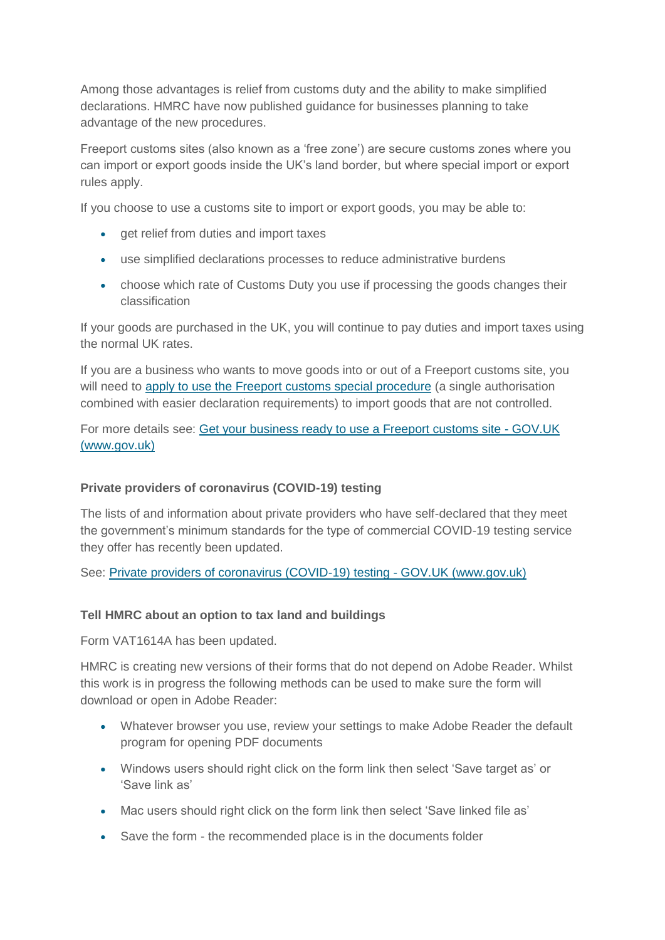Among those advantages is relief from customs duty and the ability to make simplified declarations. HMRC have now published guidance for businesses planning to take advantage of the new procedures.

Freeport customs sites (also known as a 'free zone') are secure customs zones where you can import or export goods inside the UK's land border, but where special import or export rules apply.

If you choose to use a customs site to import or export goods, you may be able to:

- get relief from duties and import taxes
- use simplified declarations processes to reduce administrative burdens
- choose which rate of Customs Duty you use if processing the goods changes their classification

If your goods are purchased in the UK, you will continue to pay duties and import taxes using the normal UK rates.

If you are a business who wants to move goods into or out of a Freeport customs site, you will need to [apply to use the Freeport customs special procedure](https://www.gov.uk/guidance/apply-to-use-the-freeport-customs-special-procedure) (a single authorisation combined with easier declaration requirements) to import goods that are not controlled.

For more details see: [Get your business ready to use a Freeport customs site -](https://www.gov.uk/guidance/get-your-business-ready-to-use-a-freeport-customs-site) GOV.UK [\(www.gov.uk\)](https://www.gov.uk/guidance/get-your-business-ready-to-use-a-freeport-customs-site)

#### **Private providers of coronavirus (COVID-19) testing**

The lists of and information about private providers who have self-declared that they meet the government's minimum standards for the type of commercial COVID-19 testing service they offer has recently been updated.

See: [Private providers of coronavirus \(COVID-19\) testing -](https://www.gov.uk/government/publications/list-of-private-providers-of-coronavirus-testing?utm_medium=email&utm_campaign=govuk-notifications&utm_source=b55ac921-9083-4ae2-a321-845f63c6a498&utm_content=daily) GOV.UK (www.gov.uk)

#### **Tell HMRC about an option to tax land and buildings**

Form VAT1614A has been updated.

HMRC is creating new versions of their forms that do not depend on Adobe Reader. Whilst this work is in progress the following methods can be used to make sure the form will download or open in Adobe Reader:

- Whatever browser you use, review your settings to make Adobe Reader the default program for opening PDF documents
- Windows users should right click on the form link then select 'Save target as' or 'Save link as'
- Mac users should right click on the form link then select 'Save linked file as'
- Save the form the recommended place is in the documents folder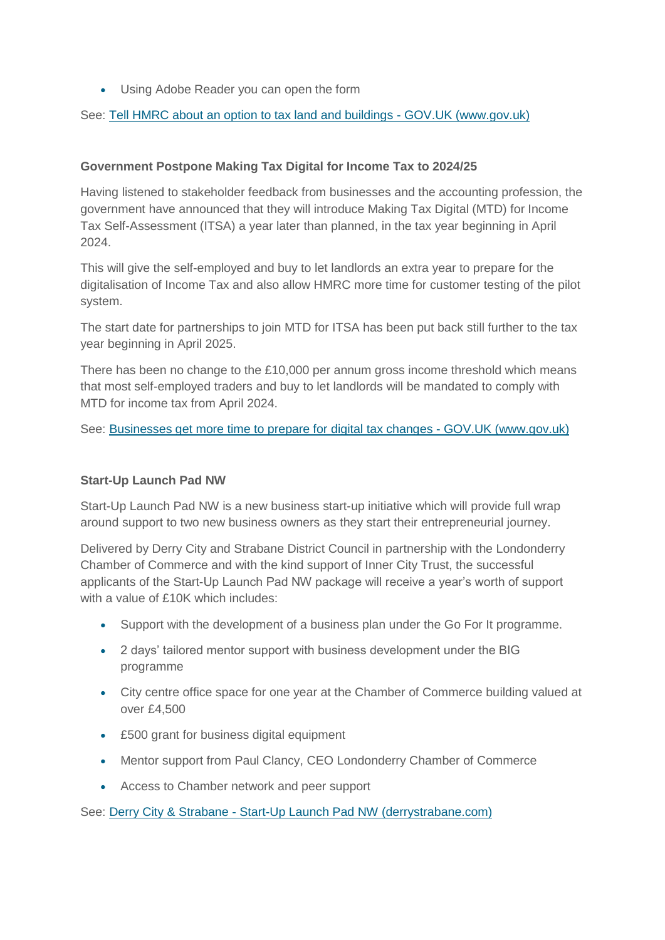Using Adobe Reader you can open the form

See: [Tell HMRC about an option to tax land and buildings -](https://www.gov.uk/government/publications/vat-notification-of-an-option-to-tax-land-andor-buildings-vat1614a?utm_medium=email&utm_campaign=govuk-notifications&utm_source=505c2281-4c70-4f6d-a20f-d0b328b89370&utm_content=daily) GOV.UK (www.gov.uk)

# **Government Postpone Making Tax Digital for Income Tax to 2024/25**

Having listened to stakeholder feedback from businesses and the accounting profession, the government have announced that they will introduce Making Tax Digital (MTD) for Income Tax Self-Assessment (ITSA) a year later than planned, in the tax year beginning in April 2024.

This will give the self-employed and buy to let landlords an extra year to prepare for the digitalisation of Income Tax and also allow HMRC more time for customer testing of the pilot system.

The start date for partnerships to join MTD for ITSA has been put back still further to the tax year beginning in April 2025.

There has been no change to the £10,000 per annum gross income threshold which means that most self-employed traders and buy to let landlords will be mandated to comply with MTD for income tax from April 2024.

See: [Businesses get more time to prepare for digital tax changes -](https://www.gov.uk/government/news/businesses-get-more-time-to-prepare-for-digital-tax-changes) GOV.UK (www.gov.uk)

# **Start-Up Launch Pad NW**

Start-Up Launch Pad NW is a new business start-up initiative which will provide full wrap around support to two new business owners as they start their entrepreneurial journey.

Delivered by Derry City and Strabane District Council in partnership with the Londonderry Chamber of Commerce and with the kind support of Inner City Trust, the successful applicants of the Start-Up Launch Pad NW package will receive a year's worth of support with a value of £10K which includes:

- Support with the development of a business plan under the Go For It programme.
- 2 days' tailored mentor support with business development under the BIG programme
- City centre office space for one year at the Chamber of Commerce building valued at over £4,500
- £500 grant for business digital equipment
- Mentor support from Paul Clancy, CEO Londonderry Chamber of Commerce
- Access to Chamber network and peer support

See: Derry City & Strabane - [Start-Up Launch Pad NW \(derrystrabane.com\)](https://www.derrystrabane.com/LaunchpadNW)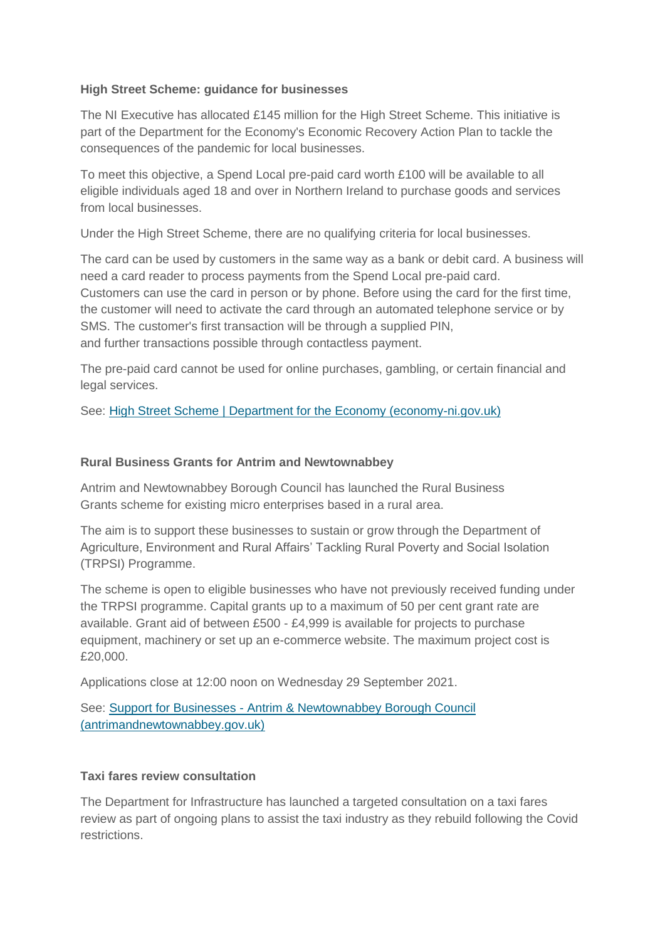## **High Street Scheme: guidance for businesses**

The NI Executive has allocated £145 million for the High Street Scheme. This initiative is part of the Department for the Economy's Economic Recovery Action Plan to tackle the consequences of the pandemic for local businesses.

To meet this objective, a Spend Local pre-paid card worth £100 will be available to all eligible individuals aged 18 and over in Northern Ireland to purchase goods and services from local businesses.

Under the High Street Scheme, there are no qualifying criteria for local businesses.

The card can be used by customers in the same way as a bank or debit card. A business will need a card reader to process payments from the Spend Local pre-paid card. Customers can use the card in person or by phone. Before using the card for the first time, the customer will need to activate the card through an automated telephone service or by SMS. The customer's first transaction will be through a supplied PIN, and further transactions possible through contactless payment.

The pre-paid card cannot be used for online purchases, gambling, or certain financial and legal services.

See: [High Street Scheme | Department for the Economy \(economy-ni.gov.uk\)](https://www.economy-ni.gov.uk/articles/high-street-scheme)

#### **Rural Business Grants for Antrim and Newtownabbey**

Antrim and Newtownabbey Borough Council has launched the Rural Business Grants scheme for existing micro enterprises based in a rural area.

The aim is to support these businesses to sustain or grow through the Department of Agriculture, Environment and Rural Affairs' Tackling Rural Poverty and Social Isolation (TRPSI) Programme.

The scheme is open to eligible businesses who have not previously received funding under the TRPSI programme. Capital grants up to a maximum of 50 per cent grant rate are available. Grant aid of between £500 - £4,999 is available for projects to purchase equipment, machinery or set up an e-commerce website. The maximum project cost is £20,000.

Applications close at 12:00 noon on Wednesday 29 September 2021.

See: Support for Businesses - [Antrim & Newtownabbey Borough Council](https://antrimandnewtownabbey.gov.uk/ruralbusinessgrants/)  [\(antrimandnewtownabbey.gov.uk\)](https://antrimandnewtownabbey.gov.uk/ruralbusinessgrants/)

#### **Taxi fares review consultation**

The Department for Infrastructure has launched a targeted consultation on a taxi fares review as part of ongoing plans to assist the taxi industry as they rebuild following the Covid restrictions.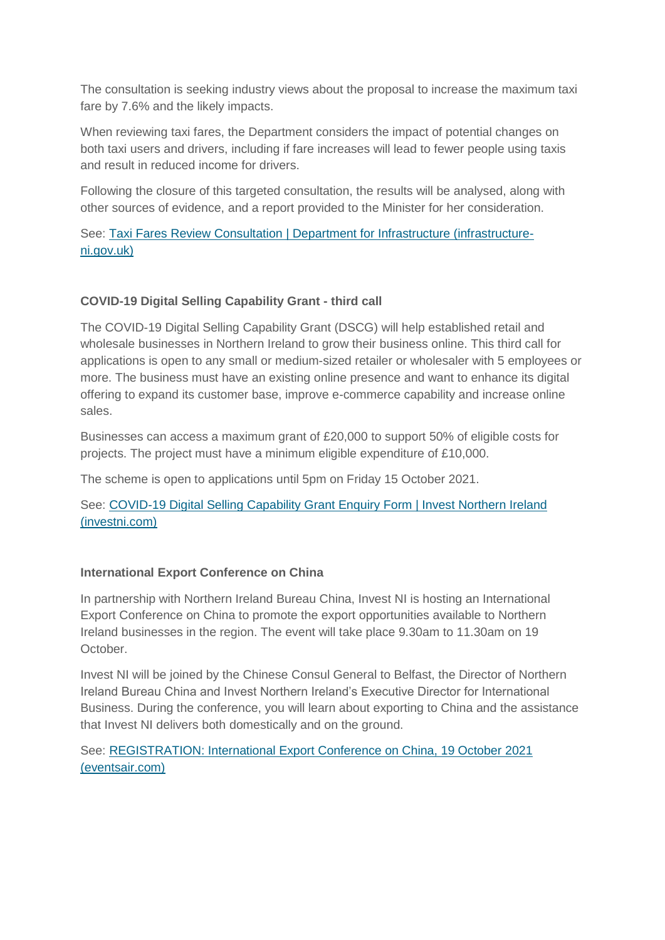The consultation is seeking industry views about the proposal to increase the maximum taxi fare by 7.6% and the likely impacts.

When reviewing taxi fares, the Department considers the impact of potential changes on both taxi users and drivers, including if fare increases will lead to fewer people using taxis and result in reduced income for drivers.

Following the closure of this targeted consultation, the results will be analysed, along with other sources of evidence, and a report provided to the Minister for her consideration.

See: [Taxi Fares Review Consultation | Department for Infrastructure \(infrastructure](https://www.infrastructure-ni.gov.uk/consultations/taxi-fares-review-consultation)[ni.gov.uk\)](https://www.infrastructure-ni.gov.uk/consultations/taxi-fares-review-consultation)

# **COVID-19 Digital Selling Capability Grant - third call**

The COVID-19 Digital Selling Capability Grant (DSCG) will help established retail and wholesale businesses in Northern Ireland to grow their business online. This third call for applications is open to any small or medium-sized retailer or wholesaler with 5 employees or more. The business must have an existing online presence and want to enhance its digital offering to expand its customer base, improve e-commerce capability and increase online sales.

Businesses can access a maximum grant of £20,000 to support 50% of eligible costs for projects. The project must have a minimum eligible expenditure of £10,000.

The scheme is open to applications until 5pm on Friday 15 October 2021.

See: [COVID-19 Digital Selling Capability Grant Enquiry Form | Invest Northern Ireland](https://www.investni.com/covid-19-digital-selling-capability-grant-enquiry-form)  [\(investni.com\)](https://www.investni.com/covid-19-digital-selling-capability-grant-enquiry-form)

# **International Export Conference on China**

In partnership with Northern Ireland Bureau China, Invest NI is hosting an International Export Conference on China to promote the export opportunities available to Northern Ireland businesses in the region. The event will take place 9.30am to 11.30am on 19 October.

Invest NI will be joined by the Chinese Consul General to Belfast, the Director of Northern Ireland Bureau China and Invest Northern Ireland's Executive Director for International Business. During the conference, you will learn about exporting to China and the assistance that Invest NI delivers both domestically and on the ground.

See: [REGISTRATION: International Export Conference on China, 19 October 2021](https://eventfulbelfast.eventsair.com/international-export-conference-on-china/registration/Site/Register)  [\(eventsair.com\)](https://eventfulbelfast.eventsair.com/international-export-conference-on-china/registration/Site/Register)